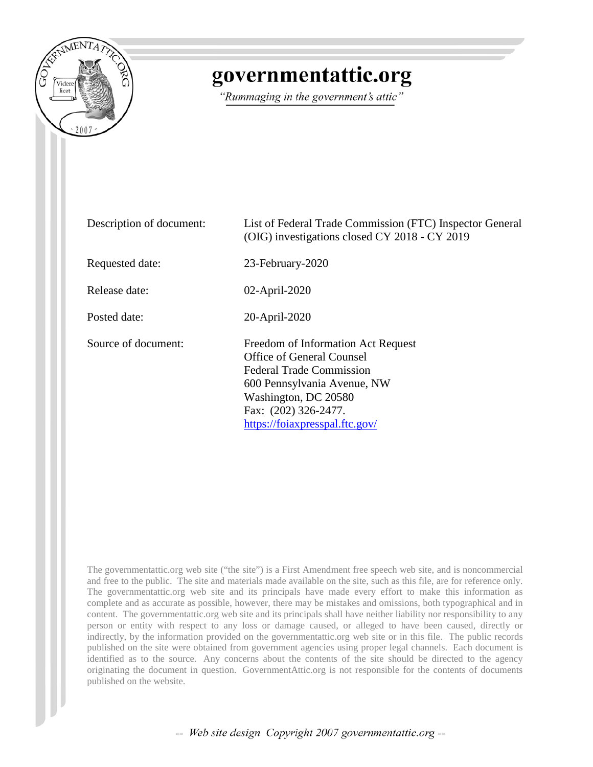

## governmentattic.org

"Rummaging in the government's attic"

| Description of document: | List of Federal Trade Commission (FTC) Inspector General<br>(OIG) investigations closed CY 2018 - CY 2019                                                                                                                  |
|--------------------------|----------------------------------------------------------------------------------------------------------------------------------------------------------------------------------------------------------------------------|
| Requested date:          | 23-February-2020                                                                                                                                                                                                           |
| Release date:            | 02-April-2020                                                                                                                                                                                                              |
| Posted date:             | 20-April-2020                                                                                                                                                                                                              |
| Source of document:      | Freedom of Information Act Request<br><b>Office of General Counsel</b><br><b>Federal Trade Commission</b><br>600 Pennsylvania Avenue, NW<br>Washington, DC 20580<br>Fax: (202) 326-2477.<br>https://foiaxpresspal.ftc.gov/ |

The governmentattic.org web site ("the site") is a First Amendment free speech web site, and is noncommercial and free to the public. The site and materials made available on the site, such as this file, are for reference only. The governmentattic.org web site and its principals have made every effort to make this information as complete and as accurate as possible, however, there may be mistakes and omissions, both typographical and in content. The governmentattic.org web site and its principals shall have neither liability nor responsibility to any person or entity with respect to any loss or damage caused, or alleged to have been caused, directly or indirectly, by the information provided on the governmentattic.org web site or in this file. The public records published on the site were obtained from government agencies using proper legal channels. Each document is identified as to the source. Any concerns about the contents of the site should be directed to the agency originating the document in question. GovernmentAttic.org is not responsible for the contents of documents published on the website.

-- Web site design Copyright 2007 governmentattic.org --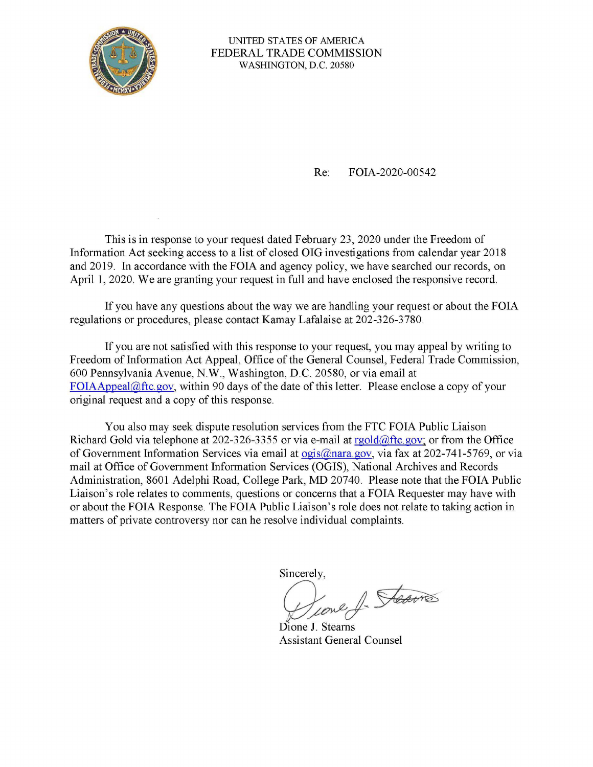

## UNITED STATES OF AMERICA FEDERAL TRADE COMMISSION WASHINGTON, D.C. 20580

## Re: FOIA-2020-00542

This is in response to your request dated February 23, 2020 under the Freedom of Information Act seeking access to a list of closed OIG investigations from calendar year 2018 and 2019. In accordance with the FOIA and agency policy, we have searched our records, on April 1, 2020. We are granting your request in full and have enclosed the responsive record.

If you have any questions about the way we are handling your request or about the FOIA regulations or procedures, please contact Kamay Lafalaise at 202-326-3780.

If you are not satisfied with this response to your request, you may appeal by writing to Freedom of Information Act Appeal, Office of the General Counsel, Federal Trade Commission, 600 Pennsylvania Avenue, N.W., Washington, D.C. 20580, or via email at  $FOIAAppend@ftc.gov$ , within 90 days of the date of this letter. Please enclose a copy of your original request and a copy of this response.

You also may seek dispute resolution services from the FTC FOIA Public Liaison Richard Gold via telephone at 202-326-3355 or via e-mail at rgold@ftc.gov; or from the Office of Government Information Services via email at ogis@nara.gov, via fax at 202-741-5769, or via mail at Office of Government Information Services (OGIS), National Archives and Records Administration, 8601 Adelphi Road, College Park, MD 20740. Please note that the FOIA Public Liaison's role relates to comments, questions or concerns that a FOIA Requester may have with or about the FOIA Response. The FOIA Public Liaison's role does not relate to taking action in matters of private controversy nor can he resolve individual complaints.

Sincerely,<br>*Viewerf* Steams

Dione J. Stearns Assistant General Counsel